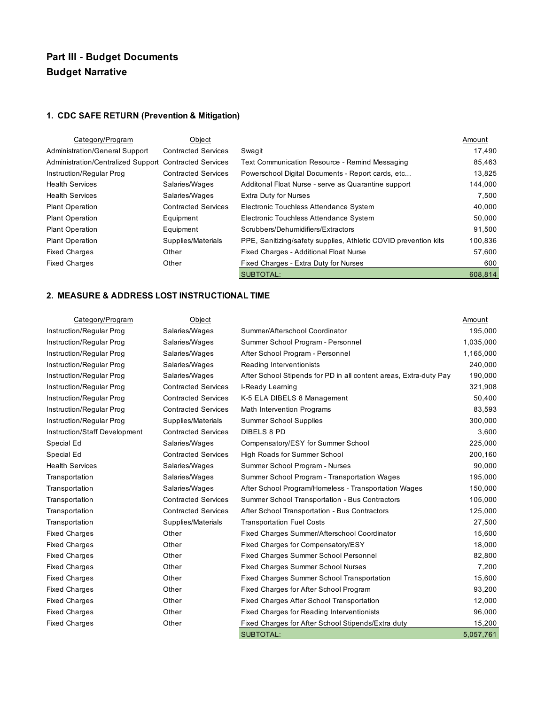## **Part III - Budget Documents Budget Narrative**

## **1. CDC SAFE RETURN (Prevention & Mitigation)**

| Category/Program                                       | Object                     |                                                                 | Amount  |
|--------------------------------------------------------|----------------------------|-----------------------------------------------------------------|---------|
| <b>Administration/General Support</b>                  | <b>Contracted Services</b> | Swagit                                                          | 17,490  |
| Administration/Centralized Support Contracted Services |                            | Text Communication Resource - Remind Messaging                  | 85,463  |
| Instruction/Regular Prog                               | <b>Contracted Services</b> | Powerschool Digital Documents - Report cards, etc               | 13,825  |
| <b>Health Services</b>                                 | Salaries/Wages             | Additonal Float Nurse - serve as Quarantine support             | 144,000 |
| <b>Health Services</b>                                 | Salaries/Wages             | <b>Extra Duty for Nurses</b>                                    | 7.500   |
| <b>Plant Operation</b>                                 | <b>Contracted Services</b> | Electronic Touchless Attendance System                          | 40,000  |
| <b>Plant Operation</b>                                 | Equipment                  | Electronic Touchless Attendance System                          | 50,000  |
| <b>Plant Operation</b>                                 | Equipment                  | Scrubbers/Dehumidifiers/Extractors                              | 91,500  |
| <b>Plant Operation</b>                                 | Supplies/Materials         | PPE, Sanitizing/safety supplies, Athletic COVID prevention kits | 100,836 |
| <b>Fixed Charges</b>                                   | Other                      | Fixed Charges - Additional Float Nurse                          | 57,600  |
| <b>Fixed Charges</b>                                   | Other                      | Fixed Charges - Extra Duty for Nurses                           | 600     |
|                                                        |                            | SUBTOTAL:                                                       | 608,814 |

## **2. MEASURE & ADDRESS LOST INSTRUCTIONAL TIME**

| Category/Program              | Object                     |                                                                   | Amount    |
|-------------------------------|----------------------------|-------------------------------------------------------------------|-----------|
| Instruction/Regular Prog      | Salaries/Wages             | Summer/Afterschool Coordinator                                    | 195,000   |
| Instruction/Regular Prog      | Salaries/Wages             | Summer School Program - Personnel                                 | 1,035,000 |
| Instruction/Regular Prog      | Salaries/Wages             | After School Program - Personnel                                  | 1,165,000 |
| Instruction/Regular Prog      | Salaries/Wages             | Reading Interventionists                                          | 240,000   |
| Instruction/Regular Prog      | Salaries/Wages             | After School Stipends for PD in all content areas, Extra-duty Pay | 190,000   |
| Instruction/Regular Prog      | <b>Contracted Services</b> | I-Ready Leaming                                                   | 321,908   |
| Instruction/Regular Prog      | <b>Contracted Services</b> | K-5 ELA DIBELS 8 Management                                       | 50,400    |
| Instruction/Regular Prog      | <b>Contracted Services</b> | <b>Math Intervention Programs</b>                                 | 83,593    |
| Instruction/Regular Prog      | Supplies/Materials         | <b>Summer School Supplies</b>                                     | 300,000   |
| Instruction/Staff Development | <b>Contracted Services</b> | <b>DIBELS 8 PD</b>                                                | 3,600     |
| Special Ed                    | Salaries/Wages             | Compensatory/ESY for Summer School                                | 225,000   |
| Special Ed                    | <b>Contracted Services</b> | High Roads for Summer School                                      | 200,160   |
| <b>Health Services</b>        | Salaries/Wages             | Summer School Program - Nurses                                    | 90,000    |
| Transportation                | Salaries/Wages             | Summer School Program - Transportation Wages                      | 195,000   |
| Transportation                | Salaries/Wages             | After School Program/Homeless - Transportation Wages              | 150,000   |
| Transportation                | <b>Contracted Services</b> | Summer School Transportation - Bus Contractors                    | 105,000   |
| Transportation                | <b>Contracted Services</b> | After School Transportation - Bus Contractors                     | 125,000   |
| Transportation                | Supplies/Materials         | <b>Transportation Fuel Costs</b>                                  | 27,500    |
| <b>Fixed Charges</b>          | Other                      | Fixed Charges Summer/Afterschool Coordinator                      | 15,600    |
| <b>Fixed Charges</b>          | Other                      | Fixed Charges for Compensatory/ESY                                | 18,000    |
| <b>Fixed Charges</b>          | Other                      | Fixed Charges Summer School Personnel                             | 82,800    |
| <b>Fixed Charges</b>          | Other                      | Fixed Charges Summer School Nurses                                | 7,200     |
| <b>Fixed Charges</b>          | Other                      | <b>Fixed Charges Summer School Transportation</b>                 | 15,600    |
| <b>Fixed Charges</b>          | Other                      | Fixed Charges for After School Program                            | 93,200    |
| <b>Fixed Charges</b>          | Other                      | Fixed Charges After School Transportation                         | 12,000    |
| <b>Fixed Charges</b>          | Other                      | Fixed Charges for Reading Interventionists                        | 96,000    |
| <b>Fixed Charges</b>          | Other                      | Fixed Charges for After School Stipends/Extra duty                | 15,200    |
|                               |                            | <b>SUBTOTAL:</b>                                                  | 5,057,761 |